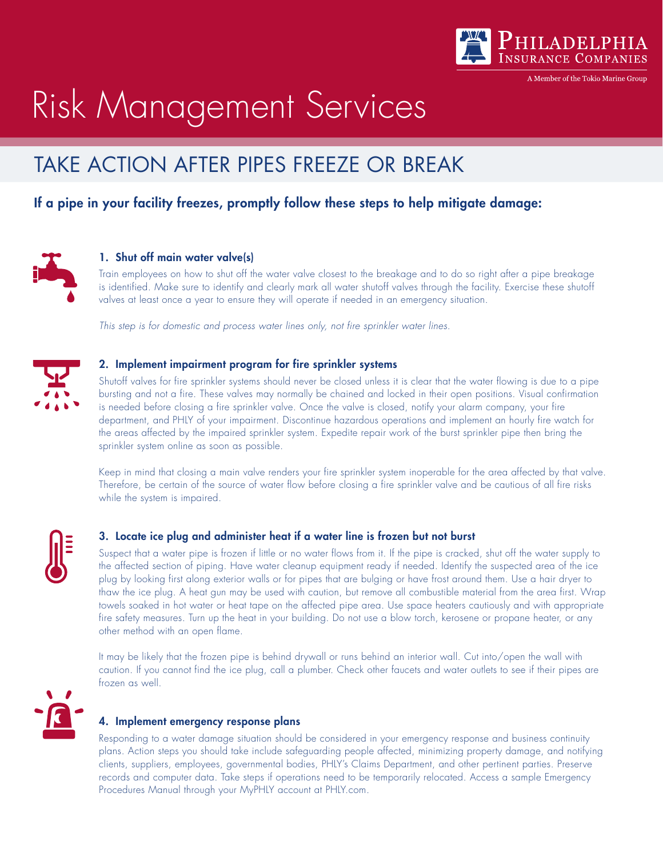

A Member of the Tokio Marine Grout

# Risk Management Services

## TAKE ACTION AFTER PIPES FREEZE OR BREAK

### If a pipe in your facility freezes, promptly follow these steps to help mitigate damage:



#### 1. Shut off main water valve(s)

Train employees on how to shut off the water valve closest to the breakage and to do so right after a pipe breakage is identified. Make sure to identify and clearly mark all water shutoff valves through the facility. Exercise these shutoff valves at least once a year to ensure they will operate if needed in an emergency situation.

*This step is for domestic and process water lines only, not fire sprinkler water lines.* 



#### 2. Implement impairment program for fire sprinkler systems

Shutoff valves for fire sprinkler systems should never be closed unless it is clear that the water flowing is due to a pipe bursting and not a fire. These valves may normally be chained and locked in their open positions. Visual confirmation is needed before closing a fire sprinkler valve. Once the valve is closed, notify your alarm company, your fire department, and PHLY of your impairment. Discontinue hazardous operations and implement an hourly fire watch for the areas affected by the impaired sprinkler system. Expedite repair work of the burst sprinkler pipe then bring the sprinkler system online as soon as possible.

Keep in mind that closing a main valve renders your fire sprinkler system inoperable for the area affected by that valve. Therefore, be certain of the source of water flow before closing a fire sprinkler valve and be cautious of all fire risks while the system is impaired.



#### 3. Locate ice plug and administer heat if a water line is frozen but not burst

Suspect that a water pipe is frozen if little or no water flows from it. If the pipe is cracked, shut off the water supply to the affected section of piping. Have water cleanup equipment ready if needed. Identify the suspected area of the ice plug by looking first along exterior walls or for pipes that are bulging or have frost around them. Use a hair dryer to thaw the ice plug. A heat gun may be used with caution, but remove all combustible material from the area first. Wrap towels soaked in hot water or heat tape on the affected pipe area. Use space heaters cautiously and with appropriate fire safety measures. Turn up the heat in your building. Do not use a blow torch, kerosene or propane heater, or any other method with an open flame.

It may be likely that the frozen pipe is behind drywall or runs behind an interior wall. Cut into/open the wall with caution. If you cannot find the ice plug, call a plumber. Check other faucets and water outlets to see if their pipes are frozen as well.



#### 4. Implement emergency response plans

Responding to a water damage situation should be considered in your emergency response and business continuity plans. Action steps you should take include safeguarding people affected, minimizing property damage, and notifying clients, suppliers, employees, governmental bodies, PHLY's Claims Department, and other pertinent parties. Preserve records and computer data. Take steps if operations need to be temporarily relocated. Access a sample Emergency Procedures Manual through your MyPHLY account at PHLY.com.